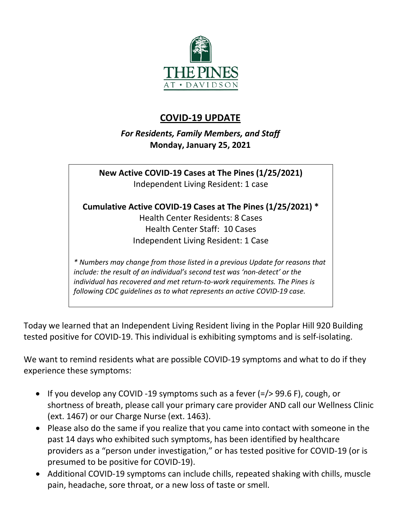

## **COVID-19 UPDATE**

*For Residents, Family Members, and Staff* **Monday, January 25, 2021**

**New Active COVID-19 Cases at The Pines (1/25/2021)** Independent Living Resident: 1 case

**Cumulative Active COVID-19 Cases at The Pines (1/25/2021) \***

Health Center Residents: 8 Cases Health Center Staff: 10 Cases Independent Living Resident: 1 Case

*\* Numbers may change from those listed in a previous Update for reasons that include: the result of an individual's second test was 'non-detect' or the individual has recovered and met return-to-work requirements. The Pines is following CDC guidelines as to what represents an active COVID-19 case.*

Today we learned that an Independent Living Resident living in the Poplar Hill 920 Building tested positive for COVID-19. This individual is exhibiting symptoms and is self-isolating.

We want to remind residents what are possible COVID-19 symptoms and what to do if they experience these symptoms:

- If you develop any COVID -19 symptoms such as a fever (=/> 99.6 F), cough, or shortness of breath, please call your primary care provider AND call our Wellness Clinic (ext. 1467) or our Charge Nurse (ext. 1463).
- Please also do the same if you realize that you came into contact with someone in the past 14 days who exhibited such symptoms, has been identified by healthcare providers as a "person under investigation," or has tested positive for COVID-19 (or is presumed to be positive for COVID-19).
- Additional COVID-19 symptoms can include chills, repeated shaking with chills, muscle pain, headache, sore throat, or a new loss of taste or smell.